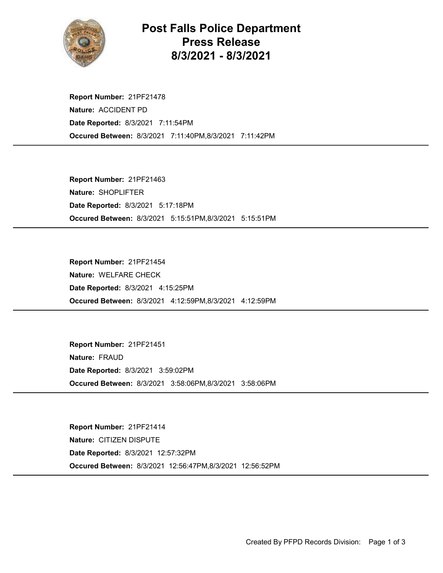

## Post Falls Police Department Press Release 8/3/2021 - 8/3/2021

Occured Between: 8/3/2021 7:11:40PM,8/3/2021 7:11:42PM Report Number: 21PF21478 Nature: ACCIDENT PD Date Reported: 8/3/2021 7:11:54PM

Occured Between: 8/3/2021 5:15:51PM,8/3/2021 5:15:51PM Report Number: 21PF21463 Nature: SHOPLIFTER Date Reported: 8/3/2021 5:17:18PM

Occured Between: 8/3/2021 4:12:59PM,8/3/2021 4:12:59PM Report Number: 21PF21454 Nature: WELFARE CHECK Date Reported: 8/3/2021 4:15:25PM

Occured Between: 8/3/2021 3:58:06PM,8/3/2021 3:58:06PM Report Number: 21PF21451 Nature: FRAUD Date Reported: 8/3/2021 3:59:02PM

Occured Between: 8/3/2021 12:56:47PM,8/3/2021 12:56:52PM Report Number: 21PF21414 Nature: CITIZEN DISPUTE Date Reported: 8/3/2021 12:57:32PM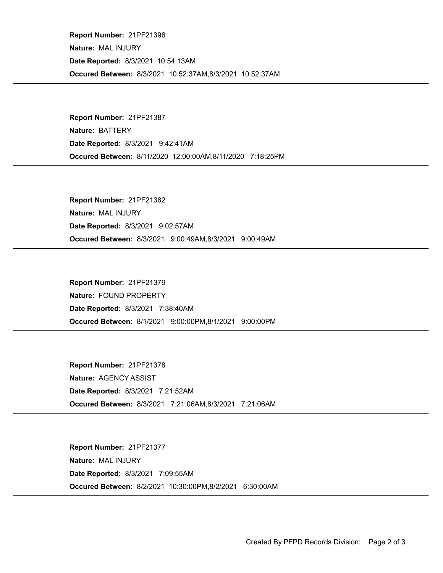Occured Between: 8/3/2021 10:52:37AM,8/3/2021 10:52:37AM Report Number: 21PF21396 Nature: MAL INJURY Date Reported: 8/3/2021 10:54:13AM

Occured Between: 8/11/2020 12:00:00AM,8/11/2020 7:18:25PM Report Number: 21PF21387 Nature: BATTERY Date Reported: 8/3/2021 9:42:41AM

Occured Between: 8/3/2021 9:00:49AM,8/3/2021 9:00:49AM Report Number: 21PF21382 Nature: MAL INJURY Date Reported: 8/3/2021 9:02:57AM

Occured Between: 8/1/2021 9:00:00PM,8/1/2021 9:00:00PM Report Number: 21PF21379 Nature: FOUND PROPERTY Date Reported: 8/3/2021 7:38:40AM

Occured Between: 8/3/2021 7:21:06AM,8/3/2021 7:21:06AM Report Number: 21PF21378 Nature: AGENCY ASSIST Date Reported: 8/3/2021 7:21:52AM

Occured Between: 8/2/2021 10:30:00PM,8/2/2021 6:30:00AM Report Number: 21PF21377 Nature: MAL INJURY Date Reported: 8/3/2021 7:09:55AM